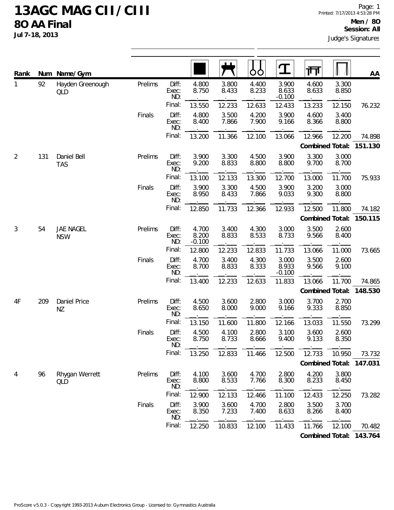| Rank           |     | Num Name/Gym              |         |                       |                            |                | OO             | T                          | 帀               |                | AA                      |
|----------------|-----|---------------------------|---------|-----------------------|----------------------------|----------------|----------------|----------------------------|-----------------|----------------|-------------------------|
| 1              | 92  | Hayden Greenough<br>QLD   | Prelims | Diff:<br>Exec:<br>ND: | 4.800<br>8.750             | 3.800<br>8.433 | 4.400<br>8.233 | 3.900<br>8.633<br>$-0.100$ | 4.600<br>8.633  | 3.300<br>8.850 |                         |
|                |     |                           |         | Final:                | 13.550                     | 12.233         | 12.633         | 12.433                     | 13.233          | 12.150         | 76.232                  |
|                |     |                           | Finals  | Diff:<br>Exec:<br>ND: | 4.800<br>8.400             | 3.500<br>7.866 | 4.200<br>7.900 | 3.900<br>9.166             | 4.600<br>8.366  | 3.400<br>8.800 |                         |
|                |     |                           |         | Final:                | 13.200                     | 11.366         | 12.100         | 13.066                     | 12.966          | 12.200         | 74.898                  |
|                |     |                           |         |                       |                            |                |                |                            | Combined Total: |                | 151.130                 |
| 2              | 131 | Daniel Bell<br><b>TAS</b> | Prelims | Diff:<br>Exec:<br>ND: | 3.900<br>9.200             | 3.300<br>8.833 | 4.500<br>8.800 | 3.900<br>8.800             | 3.300<br>9.700  | 3.000<br>8.700 |                         |
|                |     |                           |         | Final:                | 13.100                     | 12.133         | 13.300         | 12.700                     | 13.000          | 11.700         | 75.933                  |
|                |     |                           | Finals  | Diff:<br>Exec:<br>ND: | 3.900<br>8.950             | 3.300<br>8.433 | 4.500<br>7.866 | 3.900<br>9.033             | 3.200<br>9.300  | 3.000<br>8.800 |                         |
|                |     |                           |         | Final:                | 12.850                     | 11.733         | 12.366         | 12.933                     | 12.500          | 11.800         | 74.182                  |
|                |     |                           |         |                       |                            |                |                |                            | Combined Total: |                | 150.115                 |
| $\mathfrak{Z}$ | 54  | JAE NAGEL<br><b>NSW</b>   | Prelims | Diff:<br>Exec:<br>ND: | 4.700<br>8.200<br>$-0.100$ | 3.400<br>8.833 | 4.300<br>8.533 | 3.000<br>8.733             | 3.500<br>9.566  | 2.600<br>8.400 |                         |
|                |     |                           |         | Final:                | 12.800                     | 12.233         | 12.833         | 11.733                     | 13.066          | 11.000         | 73.665                  |
|                |     |                           | Finals  | Diff:<br>Exec:<br>ND: | 4.700<br>8.700             | 3.400<br>8.833 | 4.300<br>8.333 | 3.000<br>8.933<br>$-0.100$ | 3.500<br>9.566  | 2.600<br>9.100 |                         |
|                |     |                           |         | Final:                | 13.400                     | 12.233         | 12.633         | 11.833                     | 13.066          | 11.700         | 74.865                  |
|                |     |                           |         |                       |                            |                |                |                            | Combined Total: |                | 148.530                 |
| 4F             | 209 | Daniel Price<br><b>NZ</b> | Prelims | Diff:<br>Exec:<br>ND: | 4.500<br>8.650             | 3.600<br>8.000 | 2.800<br>9.000 | 3.000<br>9.166             | 3.700<br>9.333  | 2.700<br>8.850 |                         |
|                |     |                           |         | Final:                | 13.150                     | 11.600         | 11.800         | 12.166                     | 13.033          | 11.550         | 73.299                  |
|                |     |                           | Finals  | Diff:<br>Exec:<br>ND: | 4.500<br>8.750             | 4.100<br>8.733 | 2.800<br>8.666 | 3.100<br>9.400             | 3.600<br>9.133  | 2.600<br>8.350 |                         |
|                |     |                           |         | Final:                | 13.250                     | 12.833         | 11.466         | 12.500                     | 12.733          | 10.950         | 73.732                  |
|                |     |                           |         |                       |                            |                |                |                            |                 |                | Combined Total: 147.031 |
| 4              | 96  | Rhygan Werrett<br>QLD     | Prelims | Diff:<br>Exec:<br>ND: | 4.100<br>8.800             | 3.600<br>8.533 | 4.700<br>7.766 | 2.800<br>8.300             | 4.200<br>8.233  | 3.800<br>8.450 |                         |
|                |     |                           |         | Final:                | 12.900                     | 12.133         | 12.466         | 11.100                     | 12.433          | 12.250         | 73.282                  |
|                |     |                           | Finals  | Diff:<br>Exec:<br>ND: | 3.900<br>8.350             | 3.600<br>7.233 | 4.700<br>7.400 | 2.800<br>8.633             | 3.500<br>8.266  | 3.700<br>8.400 |                         |
|                |     |                           |         | Final:                | 12.250                     | 10.833         | 12.100         | 11.433                     | 11.766          | 12.100         | 70.482                  |
|                |     |                           |         |                       |                            |                |                |                            |                 |                | Combined Total: 143.764 |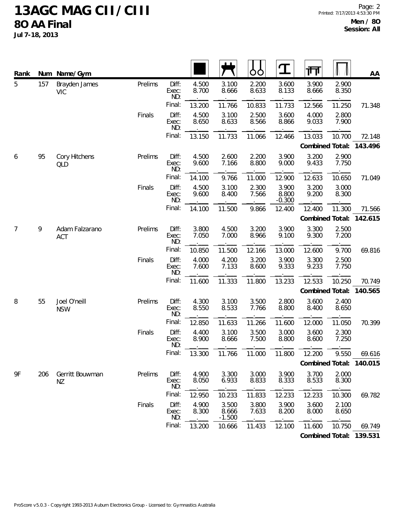**Jul 7-18, 2013**

| Rank |     | Num Name/Gym                |         |                       |                |                            | OO             | $\mathbf T$                | 帀               |                | AA                      |
|------|-----|-----------------------------|---------|-----------------------|----------------|----------------------------|----------------|----------------------------|-----------------|----------------|-------------------------|
| 5    | 157 | Brayden James<br><b>VIC</b> | Prelims | Diff:<br>Exec:<br>ND: | 4.500<br>8.700 | 3.100<br>8.666             | 2.200<br>8.633 | 3.600<br>8.133             | 3.900<br>8.666  | 2.900<br>8.350 |                         |
|      |     |                             |         | Final:                | 13.200         | 11.766                     | 10.833         | 11.733                     | 12.566          | 11.250         | 71.348                  |
|      |     |                             | Finals  | Diff:<br>Exec:<br>ND: | 4.500<br>8.650 | 3.100<br>8.633             | 2.500<br>8.566 | 3.600<br>8.866             | 4.000<br>9.033  | 2.800<br>7.900 |                         |
|      |     |                             |         | Final:                | 13.150         | 11.733                     | 11.066         | 12.466                     | 13.033          | 10.700         | 72.148                  |
|      |     |                             |         |                       |                |                            |                |                            | Combined Total: |                | 143.496                 |
| 6    | 95  | Cory Hitchens<br>QLD        | Prelims | Diff:<br>Exec:<br>ND: | 4.500<br>9.600 | 2.600<br>7.166             | 2.200<br>8.800 | 3.900<br>9.000             | 3.200<br>9.433  | 2.900<br>7.750 |                         |
|      |     |                             |         | Final:                | 14.100         | 9.766                      | 11.000         | 12.900                     | 12.633          | 10.650         | 71.049                  |
|      |     |                             | Finals  | Diff:<br>Exec:<br>ND: | 4.500<br>9.600 | 3.100<br>8.400             | 2.300<br>7.566 | 3.900<br>8.800<br>$-0.300$ | 3.200<br>9.200  | 3.000<br>8.300 |                         |
|      |     |                             |         | Final:                | 14.100         | 11.500                     | 9.866          | 12.400                     | 12.400          | 11.300         | 71.566                  |
|      |     |                             |         |                       |                |                            |                |                            | Combined Total: |                | 142.615                 |
| 7    | 9   | Adam Falzarano<br>ACT       | Prelims | Diff:<br>Exec:<br>ND: | 3.800<br>7.050 | 4.500<br>7.000             | 3.200<br>8.966 | 3.900<br>9.100             | 3.300<br>9.300  | 2.500<br>7.200 |                         |
|      |     |                             |         | Final:                | 10.850         | 11.500                     | 12.166         | 13.000                     | 12.600          | 9.700          | 69.816                  |
|      |     |                             | Finals  | Diff:<br>Exec:<br>ND: | 4.000<br>7.600 | 4.200<br>7.133             | 3.200<br>8.600 | 3.900<br>9.333             | 3.300<br>9.233  | 2.500<br>7.750 |                         |
|      |     |                             |         | Final:                | 11.600         | 11.333                     | 11.800         | 13.233                     | 12.533          | 10.250         | 70.749                  |
|      |     |                             |         |                       |                |                            |                |                            | Combined Total: |                | 140.565                 |
| 8    | 55  | Joel O'neill<br><b>NSW</b>  | Prelims | Diff:<br>Exec:<br>ND: | 4.300<br>8.550 | 3.100<br>8.533             | 3.500<br>7.766 | 2.800<br>8.800             | 3.600<br>8.400  | 2.400<br>8.650 |                         |
|      |     |                             |         | Final:                | 12.850         | 11.633                     | 11.266         | 11.600                     | 12.000          | 11.050         | 70.399                  |
|      |     |                             | Finals  | Diff:<br>Exec:<br>ND: | 4.400<br>8.900 | 3.100<br>8.666             | 3.500<br>7.500 | 3.000<br>8.800             | 3.600<br>8.600  | 2.300<br>7.250 |                         |
|      |     |                             |         | Final:                | 13.300         | 11.766                     | 11.000         | 11.800                     | 12.200          | 9.550          | 69.616                  |
|      |     |                             |         |                       |                |                            |                |                            |                 |                | Combined Total: 140.015 |
| 9F   | 206 | Gerritt Bouwman<br>NZ       | Prelims | Diff:<br>Exec:<br>ND: | 4.900<br>8.050 | 3.300<br>6.933             | 3.000<br>8.833 | 3.900<br>8.333             | 3.700<br>8.533  | 2.000<br>8.300 |                         |
|      |     |                             |         | Final:                | 12.950         | 10.233                     | 11.833         | 12.233                     | 12.233          | 10.300         | 69.782                  |
|      |     |                             | Finals  | Diff:<br>Exec:<br>ND: | 4.900<br>8.300 | 3.500<br>8.666<br>$-1.500$ | 3.800<br>7.633 | 3.900<br>8.200             | 3.600<br>8.000  | 2.100<br>8.650 |                         |
|      |     |                             |         | Final:                | 13.200         | 10.666                     | 11.433         | 12.100                     | 11.600          | 10.750         | 69.749                  |
|      |     |                             |         |                       |                |                            |                |                            |                 |                | Combined Total: 139.531 |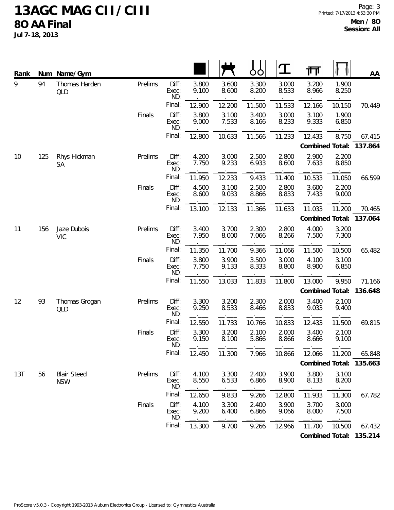| Rank | Num | Name/Gym                         |         |                       |                |                | Ő<br>Ő         | $\mathbf{T}$   | गा              |                | AA                      |
|------|-----|----------------------------------|---------|-----------------------|----------------|----------------|----------------|----------------|-----------------|----------------|-------------------------|
| 9    | 94  | Thomas Harden<br>QLD             | Prelims | Diff:<br>Exec:<br>ND: | 3.800<br>9.100 | 3.600<br>8.600 | 3.300<br>8.200 | 3.000<br>8.533 | 3.200<br>8.966  | 1.900<br>8.250 |                         |
|      |     |                                  |         | Final:                | 12.900         | 12.200         | 11.500         | 11.533         | 12.166          | 10.150         | 70.449                  |
|      |     |                                  | Finals  | Diff:<br>Exec:<br>ND: | 3.800<br>9.000 | 3.100<br>7.533 | 3.400<br>8.166 | 3.000<br>8.233 | 3.100<br>9.333  | 1.900<br>6.850 |                         |
|      |     |                                  |         | Final:                | 12.800         | 10.633         | 11.566         | 11.233         | 12.433          | 8.750          | 67.415                  |
|      |     |                                  |         |                       |                |                |                |                | Combined Total: |                | 137.864                 |
| 10   | 125 | Rhys Hickman<br>SA               | Prelims | Diff:<br>Exec:<br>ND: | 4.200<br>7.750 | 3.000<br>9.233 | 2.500<br>6.933 | 2.800<br>8.600 | 2.900<br>7.633  | 2.200<br>8.850 |                         |
|      |     |                                  |         | Final:                | 11.950         | 12.233         | 9.433          | 11.400         | 10.533          | 11.050         | 66.599                  |
|      |     |                                  | Finals  | Diff:<br>Exec:<br>ND: | 4.500<br>8.600 | 3.100<br>9.033 | 2.500<br>8.866 | 2.800<br>8.833 | 3.600<br>7.433  | 2.200<br>9.000 |                         |
|      |     |                                  |         | Final:                | 13.100         | 12.133         | 11.366         | 11.633         | 11.033          | 11.200         | 70.465                  |
|      |     |                                  |         |                       |                |                |                |                | Combined Total: |                | 137.064                 |
| 11   | 156 | Jaze Dubois<br><b>VIC</b>        | Prelims | Diff:<br>Exec:<br>ND: | 3.400<br>7.950 | 3.700<br>8.000 | 2.300<br>7.066 | 2.800<br>8.266 | 4.000<br>7.500  | 3.200<br>7.300 |                         |
|      |     |                                  |         | Final:                | 11.350         | 11.700         | 9.366          | 11.066         | 11.500          | 10.500         | 65.482                  |
|      |     |                                  | Finals  | Diff:<br>Exec:<br>ND: | 3.800<br>7.750 | 3.900<br>9.133 | 3.500<br>8.333 | 3.000<br>8.800 | 4.100<br>8.900  | 3.100<br>6.850 |                         |
|      |     |                                  |         | Final:                | 11.550         | 13.033         | 11.833         | 11.800         | 13.000          | 9.950          | 71.166                  |
|      |     |                                  |         |                       |                |                |                |                | Combined Total: |                | 136.648                 |
| 12   | 93  | Thomas Grogan<br>QLD             | Prelims | Diff:<br>Exec:<br>ND: | 3.300<br>9.250 | 3.200<br>8.533 | 2.300<br>8.466 | 2.000<br>8.833 | 3.400<br>9.033  | 2.100<br>9.400 |                         |
|      |     |                                  |         | Final:                | 12.550         | 11.733         | 10.766         | 10.833         | 12.433          | 11.500         | 69.815                  |
|      |     |                                  | Finals  | Diff:<br>Exec:<br>ND: | 3.300<br>9.150 | 3.200<br>8.100 | 2.100<br>5.866 | 2.000<br>8.866 | 3.400<br>8.666  | 2.100<br>9.100 |                         |
|      |     |                                  |         | Final:                | 12.450         | 11.300         | 7.966          | 10.866         | 12.066          | 11.200         | 65.848                  |
|      |     |                                  |         |                       |                |                |                |                |                 |                | Combined Total: 135.663 |
| 13T  | 56  | <b>Blair Steed</b><br><b>NSW</b> | Prelims | Diff:<br>Exec:<br>ND: | 4.100<br>8.550 | 3.300<br>6.533 | 2.400<br>6.866 | 3.900<br>8.900 | 3.800<br>8.133  | 3.100<br>8.200 |                         |
|      |     |                                  |         | Final:                | 12.650         | 9.833          | 9.266          | 12.800         | 11.933          | 11.300         | 67.782                  |
|      |     |                                  | Finals  | Diff:<br>Exec:<br>ND: | 4.100<br>9.200 | 3.300<br>6.400 | 2.400<br>6.866 | 3.900<br>9.066 | 3.700<br>8.000  | 3.000<br>7.500 |                         |
|      |     |                                  |         | Final:                | 13.300         | 9.700          | 9.266          | 12.966         | 11.700          | 10.500         | 67.432                  |
|      |     |                                  |         |                       |                |                |                |                |                 |                | Combined Total: 135.214 |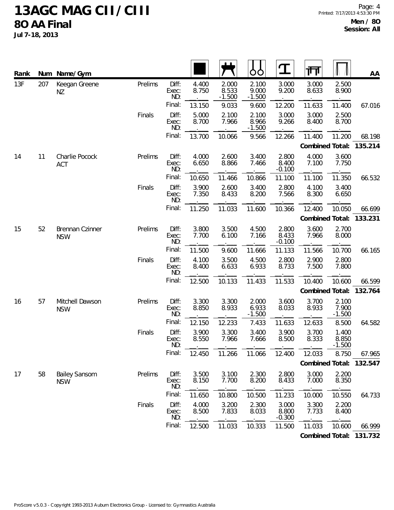| Rank | Num | Name/Gym                           |         |                       |                |                            | O<br>O                     | Ω                          | गा              |                            | AA                      |
|------|-----|------------------------------------|---------|-----------------------|----------------|----------------------------|----------------------------|----------------------------|-----------------|----------------------------|-------------------------|
| 13F  | 207 | Keegan Greene<br>NZ                | Prelims | Diff:<br>Exec:<br>ND: | 4.400<br>8.750 | 2.000<br>8.533<br>$-1.500$ | 2.100<br>9.000<br>$-1.500$ | 3.000<br>9.200             | 3.000<br>8.633  | 2.500<br>8.900             |                         |
|      |     |                                    |         | Final:                | 13.150         | 9.033                      | 9.600                      | 12.200                     | 11.633          | 11.400                     | 67.016                  |
|      |     |                                    | Finals  | Diff:<br>Exec:<br>ND: | 5.000<br>8.700 | 2.100<br>7.966             | 2.100<br>8.966<br>$-1.500$ | 3.000<br>9.266             | 3.000<br>8.400  | 2.500<br>8.700             |                         |
|      |     |                                    |         | Final:                | 13.700         | 10.066                     | 9.566                      | 12.266                     | 11.400          | 11.200                     | 68.198                  |
|      |     |                                    |         |                       |                |                            |                            |                            | Combined Total: |                            | 135.214                 |
| 14   | 11  | Charlie Pocock<br><b>ACT</b>       | Prelims | Diff:<br>Exec:<br>ND: | 4.000<br>6.650 | 2.600<br>8.866             | 3.400<br>7.466             | 2.800<br>8.400<br>$-0.100$ | 4.000<br>7.100  | 3.600<br>7.750             |                         |
|      |     |                                    |         | Final:                | 10.650         | 11.466                     | 10.866                     | 11.100                     | 11.100          | 11.350                     | 66.532                  |
|      |     |                                    | Finals  | Diff:<br>Exec:<br>ND: | 3.900<br>7.350 | 2.600<br>8.433             | 3.400<br>8.200             | 2.800<br>7.566             | 4.100<br>8.300  | 3.400<br>6.650             |                         |
|      |     |                                    |         | Final:                | 11.250         | 11.033                     | 11.600                     | 10.366                     | 12.400          | 10.050                     | 66.699                  |
|      |     |                                    |         |                       |                |                            |                            |                            | Combined Total: |                            | 133.231                 |
| 15   | 52  | Brennan Czinner<br><b>NSW</b>      | Prelims | Diff:<br>Exec:<br>ND: | 3.800<br>7.700 | 3.500<br>6.100             | 4.500<br>7.166             | 2.800<br>8.433<br>$-0.100$ | 3.600<br>7.966  | 2.700<br>8.000             |                         |
|      |     |                                    |         | Final:                | 11.500         | 9.600                      | 11.666                     | 11.133                     | 11.566          | 10.700                     | 66.165                  |
|      |     |                                    | Finals  | Diff:<br>Exec:<br>ND: | 4.100<br>8.400 | 3.500<br>6.633             | 4.500<br>6.933             | 2.800<br>8.733             | 2.900<br>7.500  | 2.800<br>7.800             |                         |
|      |     |                                    |         | Final:                | 12.500         | 10.133                     | 11.433                     | 11.533                     | 10.400          | 10.600                     | 66.599                  |
|      |     |                                    |         |                       |                |                            |                            |                            | Combined Total: |                            | 132.764                 |
| 16   | 57  | Mitchell Dawson<br><b>NSW</b>      | Prelims | Diff:<br>Exec:<br>ND: | 3.300<br>8.850 | 3.300<br>8.933             | 2.000<br>6.933<br>$-1.500$ | 3.600<br>8.033             | 3.700<br>8.933  | 2.100<br>7.900<br>$-1.500$ |                         |
|      |     |                                    |         | Final:                | 12.150         | 12.233                     | 7.433                      | 11.633                     | 12.633          | 8.500                      | 64.582                  |
|      |     |                                    | Finals  | Diff:<br>Exec:<br>ND: | 3.900<br>8.550 | 3.300<br>7.966             | 3.400<br>7.666             | 3.900<br>8.500             | 3.700<br>8.333  | 1.400<br>8.850<br>$-1.500$ |                         |
|      |     |                                    |         | Final:                | 12.450         | 11.266                     | 11.066                     | 12.400                     | 12.033          | 8.750                      | 67.965                  |
|      |     |                                    |         |                       |                |                            |                            |                            | Combined Total: |                            | 132.547                 |
| 17   | 58  | <b>Bailey Sansom</b><br><b>NSW</b> | Prelims | Diff:<br>Exec:<br>ND: | 3.500<br>8.150 | 3.100<br>7.700             | 2.300<br>8.200             | 2.800<br>8.433             | 3.000<br>7.000  | 2.200<br>8.350             |                         |
|      |     |                                    |         | Final:                | 11.650         | 10.800                     | 10.500                     | 11.233                     | 10.000          | 10.550                     | 64.733                  |
|      |     |                                    | Finals  | Diff:<br>Exec:<br>ND: | 4.000<br>8.500 | 3.200<br>7.833             | 2.300<br>8.033             | 3.000<br>8.800<br>$-0.300$ | 3.300<br>7.733  | 2.200<br>8.400             |                         |
|      |     |                                    |         | Final:                | 12.500         | 11.033                     | 10.333                     | 11.500                     | 11.033          | 10.600                     | 66.999                  |
|      |     |                                    |         |                       |                |                            |                            |                            |                 |                            | Combined Total: 131.732 |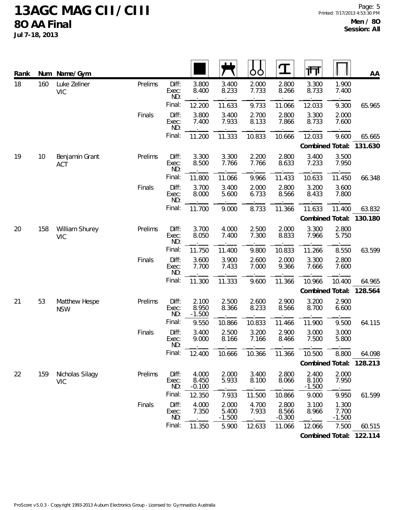**Jul 7-18, 2013**

| Rank |     | Num Name/Gym                  |         |                       |                            |                            | OO             | ${\bf T}$                  | 帀                          |                            | AA                      |
|------|-----|-------------------------------|---------|-----------------------|----------------------------|----------------------------|----------------|----------------------------|----------------------------|----------------------------|-------------------------|
| 18   | 160 | Luke Zellner<br><b>VIC</b>    | Prelims | Diff:<br>Exec:<br>ND: | 3.800<br>8.400             | 3.400<br>8.233             | 2.000<br>7.733 | 2.800<br>8.266             | 3.300<br>8.733             | 1.900<br>7.400             |                         |
|      |     |                               |         | Final:                | 12.200                     | 11.633                     | 9.733          | 11.066                     | 12.033                     | 9.300                      | 65.965                  |
|      |     |                               | Finals  | Diff:<br>Exec:<br>ND: | 3.800<br>7.400             | 3.400<br>7.933             | 2.700<br>8.133 | 2.800<br>7.866             | 3.300<br>8.733             | 2.000<br>7.600             |                         |
|      |     |                               |         | Final:                | 11.200                     | 11.333                     | 10.833         | 10.666                     | 12.033                     | 9.600                      | 65.665                  |
|      |     |                               |         |                       |                            |                            |                |                            | Combined Total:            |                            | 131.630                 |
| 19   | 10  | Benjamin Grant<br><b>ACT</b>  | Prelims | Diff:<br>Exec:<br>ND: | 3.300<br>8.500             | 3.300<br>7.766             | 2.200<br>7.766 | 2.800<br>8.633             | 3.400<br>7.233             | 3.500<br>7.950             |                         |
|      |     |                               |         | Final:                | 11.800                     | 11.066                     | 9.966          | 11.433                     | 10.633                     | 11.450                     | 66.348                  |
|      |     |                               | Finals  | Diff:<br>Exec:<br>ND: | 3.700<br>8.000             | 3.400<br>5.600             | 2.000<br>6.733 | 2.800<br>8.566             | 3.200<br>8.433             | 3.600<br>7.800             |                         |
|      |     |                               |         | Final:                | 11.700                     | 9.000                      | 8.733          | 11.366                     | 11.633                     | 11.400                     | 63.832                  |
|      |     |                               |         |                       |                            |                            |                |                            | Combined Total:            |                            | 130.180                 |
| 20   | 158 | William Shurey<br><b>VIC</b>  | Prelims | Diff:<br>Exec:<br>ND: | 3.700<br>8.050             | 4.000<br>7.400             | 2.500<br>7.300 | 2.000<br>8.833             | 3.300<br>7.966             | 2.800<br>5.750             |                         |
|      |     |                               |         | Final:                | 11.750                     | 11.400                     | 9.800          | 10.833                     | 11.266                     | 8.550                      | 63.599                  |
|      |     |                               | Finals  | Diff:<br>Exec:<br>ND: | 3.600<br>7.700             | 3.900<br>7.433             | 2.600<br>7.000 | 2.000<br>9.366             | 3.300<br>7.666             | 2.800<br>7.600             |                         |
|      |     |                               |         | Final:                | 11.300                     | 11.333                     | 9.600          | 11.366                     | 10.966                     | 10.400                     | 64.965                  |
|      |     |                               |         |                       |                            |                            |                |                            | Combined Total:            |                            | 128.564                 |
| 21   | 53  | Matthew Hespe<br><b>NSW</b>   | Prelims | Diff:<br>Exec:<br>ND: | 2.100<br>8.950<br>$-1.500$ | 2.500<br>8.366             | 2.600<br>8.233 | 2.900<br>8.566             | 3.200<br>8.700             | 2.900<br>6.600             |                         |
|      |     |                               |         | Final:                | 9.550                      | 10.866                     | 10.833         | 11.466                     | 11.900                     | 9.500                      | 64.115                  |
|      |     |                               | Finals  | Diff:<br>Exec:<br>ND: | 3.400<br>9.000             | 2.500<br>8.166             | 3.200<br>7.166 | 2.900<br>8.466             | 3.000<br>7.500             | 3.000<br>5.800             |                         |
|      |     |                               |         | Final:                | 12.400                     | 10.666                     | 10.366         | 11.366                     | 10.500                     | 8.800                      | 64.098                  |
|      |     |                               |         |                       |                            |                            |                |                            |                            |                            | Combined Total: 128.213 |
| 22   | 159 | Nicholas Silagy<br><b>VIC</b> | Prelims | Diff:<br>Exec:<br>ND: | 4.000<br>8.450<br>$-0.100$ | 2.000<br>5.933             | 3.400<br>8.100 | 2.800<br>8.066             | 2.400<br>8.100<br>$-1.500$ | 2.000<br>7.950             |                         |
|      |     |                               |         | Final:                | 12.350                     | 7.933                      | 11.500         | 10.866                     | 9.000                      | 9.950                      | 61.599                  |
|      |     |                               | Finals  | Diff:<br>Exec:<br>ND: | 4.000<br>7.350             | 2.000<br>5.400<br>$-1.500$ | 4.700<br>7.933 | 2.800<br>8.566<br>$-0.300$ | 3.100<br>8.966             | 1.300<br>7.700<br>$-1.500$ |                         |
|      |     |                               |         | Final:                | 11.350                     | 5.900                      | 12.633         | 11.066                     | 12.066                     | 7.500                      | 60.515                  |
|      |     |                               |         |                       |                            |                            |                |                            |                            |                            | Combined Total: 122.114 |